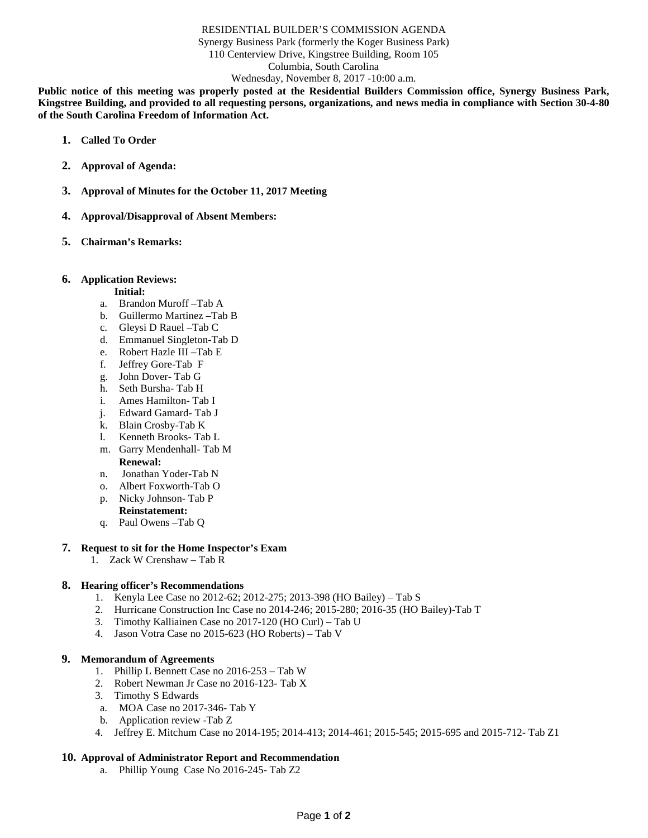#### RESIDENTIAL BUILDER'S COMMISSION AGENDA

Synergy Business Park (formerly the Koger Business Park)

110 Centerview Drive, Kingstree Building, Room 105

Columbia, South Carolina

Wednesday, November 8, 2017 -10:00 a.m.

**Public notice of this meeting was properly posted at the Residential Builders Commission office, Synergy Business Park, Kingstree Building, and provided to all requesting persons, organizations, and news media in compliance with Section 30-4-80 of the South Carolina Freedom of Information Act.**

- **1. Called To Order**
- **2. Approval of Agenda:**
- **3. Approval of Minutes for the October 11, 2017 Meeting**
- **4. Approval/Disapproval of Absent Members:**
- **5. Chairman's Remarks:**

#### **6. Application Reviews:**

#### **Initial:**

- a. Brandon Muroff –Tab A
- b. Guillermo Martinez –Tab B
- c. Gleysi D Rauel –Tab C
- d. Emmanuel Singleton-Tab D
- e. Robert Hazle III –Tab E
- f. Jeffrey Gore-Tab F
- g. John Dover- Tab G
- h. Seth Bursha- Tab H
- i. Ames Hamilton- Tab I
- j. Edward Gamard- Tab J
- k. Blain Crosby-Tab K
- l. Kenneth Brooks- Tab L
- m. Garry Mendenhall- Tab M **Renewal:**
- n. Jonathan Yoder-Tab N
- o. Albert Foxworth-Tab O
- p. Nicky Johnson- Tab P
- **Reinstatement:**
- q. Paul Owens –Tab Q

## **7. Request to sit for the Home Inspector's Exam**

1. Zack W Crenshaw – Tab R

# **8. Hearing officer's Recommendations**

- 1. Kenyla Lee Case no 2012-62; 2012-275; 2013-398 (HO Bailey) Tab S
- 2. Hurricane Construction Inc Case no 2014-246; 2015-280; 2016-35 (HO Bailey)-Tab T
- 3. Timothy Kalliainen Case no 2017-120 (HO Curl) Tab U
- 4. Jason Votra Case no 2015-623 (HO Roberts) Tab V

#### **9. Memorandum of Agreements**

- 1. Phillip L Bennett Case no 2016-253 Tab W
- 2. Robert Newman Jr Case no 2016-123- Tab X
- 3. Timothy S Edwards
- a. MOA Case no 2017-346- Tab Y
- b. Application review -Tab Z
- 4. Jeffrey E. Mitchum Case no 2014-195; 2014-413; 2014-461; 2015-545; 2015-695 and 2015-712- Tab Z1

# **10. Approval of Administrator Report and Recommendation**

a. Phillip Young Case No 2016-245- Tab Z2